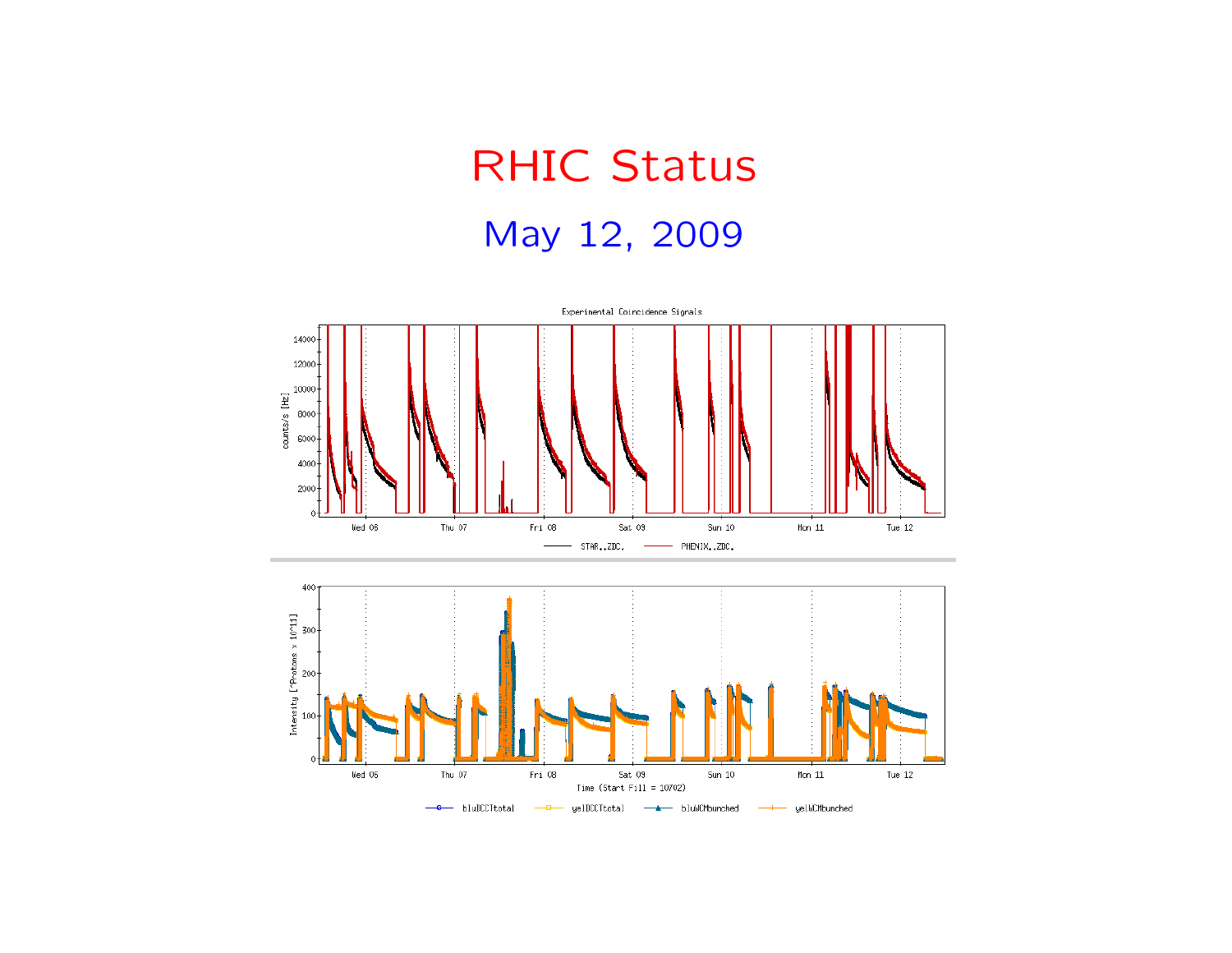## RHIC StatusMay 12, 2009

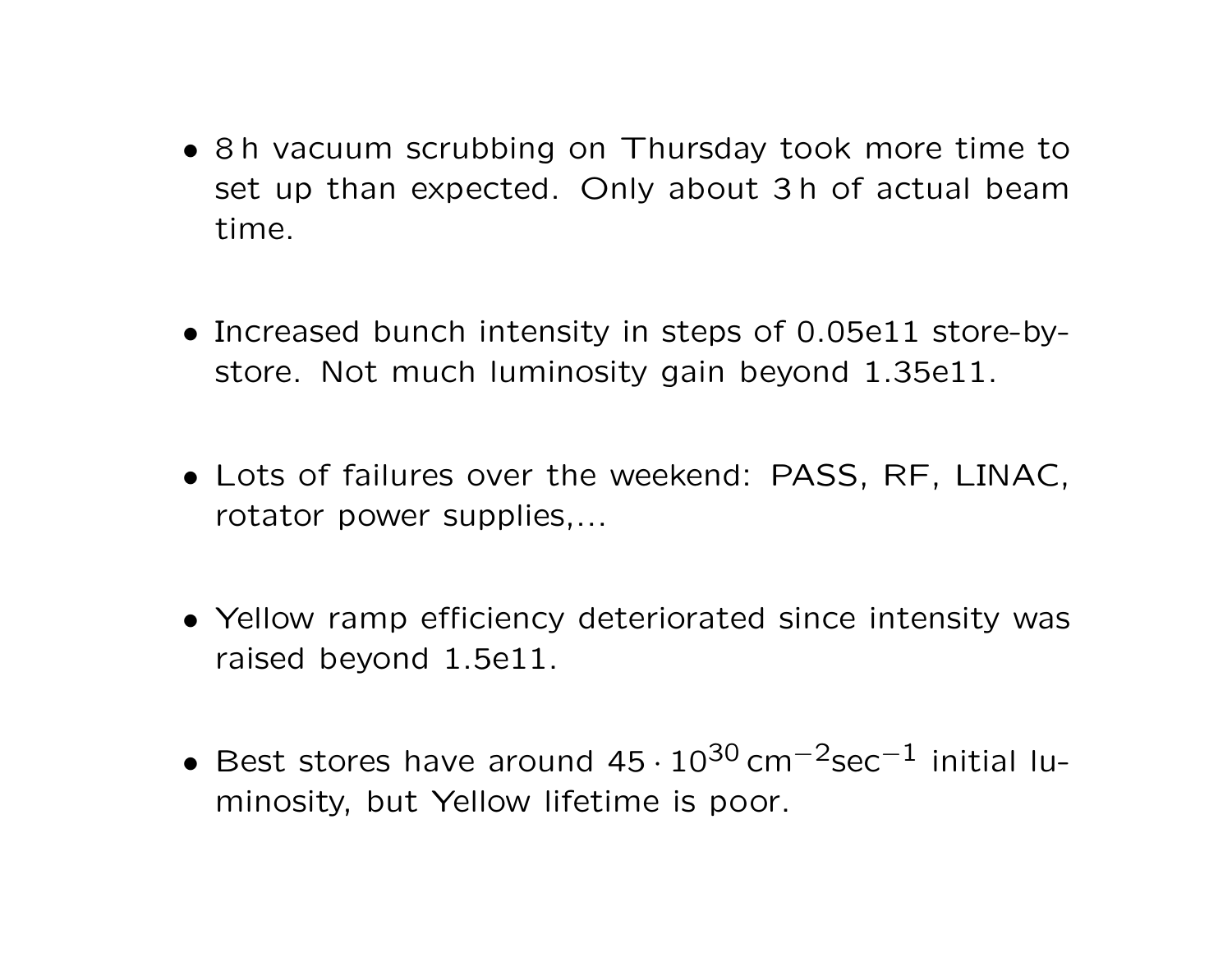- <sup>8</sup> <sup>h</sup> vacuum scrubbing on Thursday took more time to set up than expected. Only about 3 h of actual beamtime.
- Increased bunch intensity in steps of 0.05e11 store-bystore. Not much luminosity gain beyond 1.35e11.
- Lots of failures over the weekend: PASS, RF, LINAC, rotator power supplies,...
- Yellow ramp efficiency deteriorated since intensity was raised beyond 1.5e11.
- Best stores have around 45 $\cdot 10^{30}$  cm<sup>-2</sup>sec<sup>-1</sup> initial luminosity, but Yellow lifetime is poor.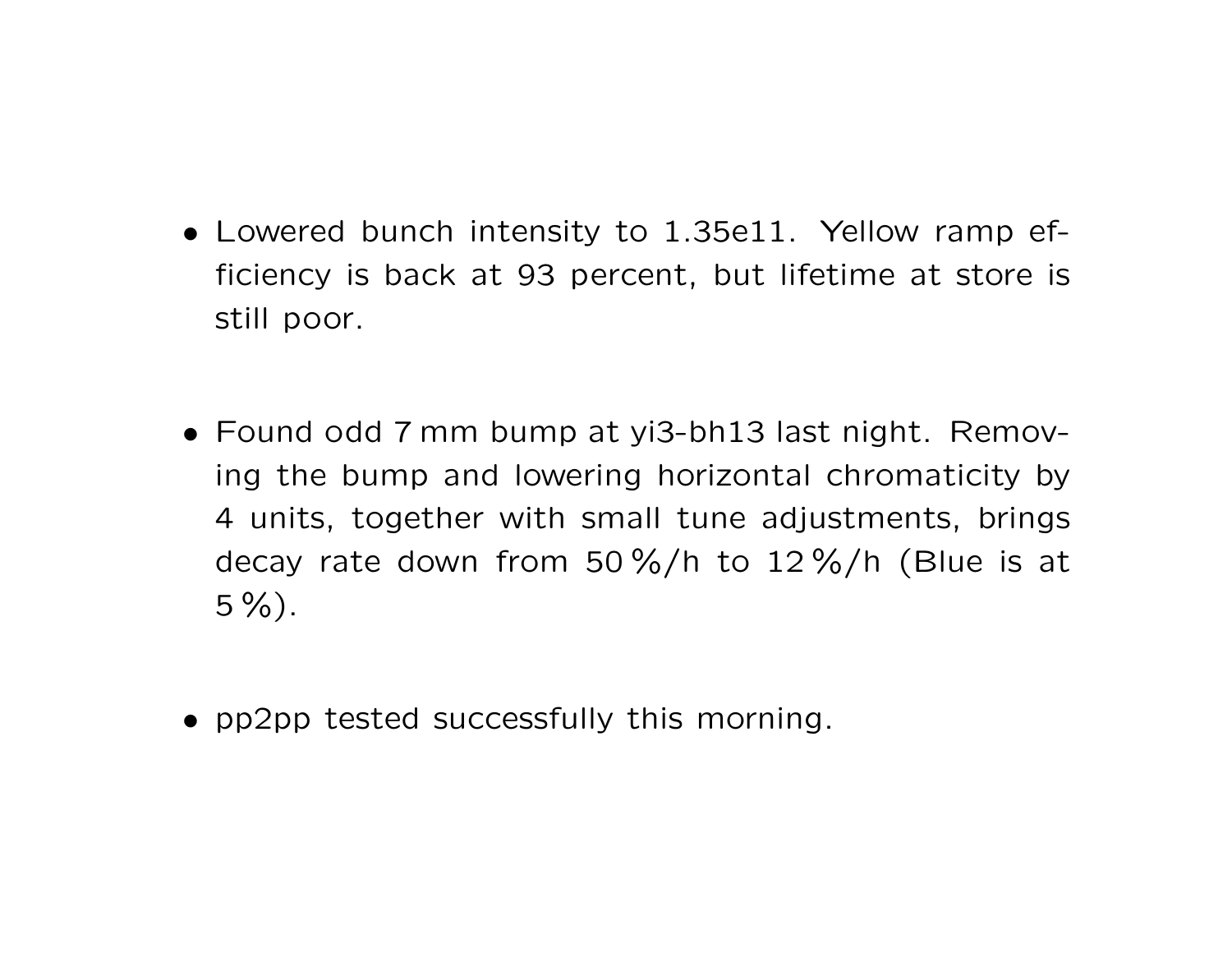- Lowered bunch intensity to 1.35e11. Yellow ramp efficiency is back at 93 percent, but lifetime at store isstill poor.
- Found odd <sup>7</sup> mm bump at yi3-bh13 last night. Removing the bump and lowering horizontal chromaticity by4 units, together with small tune adjustments, bringsdecay rate down from 50 %/h to 12 %/h (Blue is at $5\%$ ).
- pp2pp tested successfully this morning.